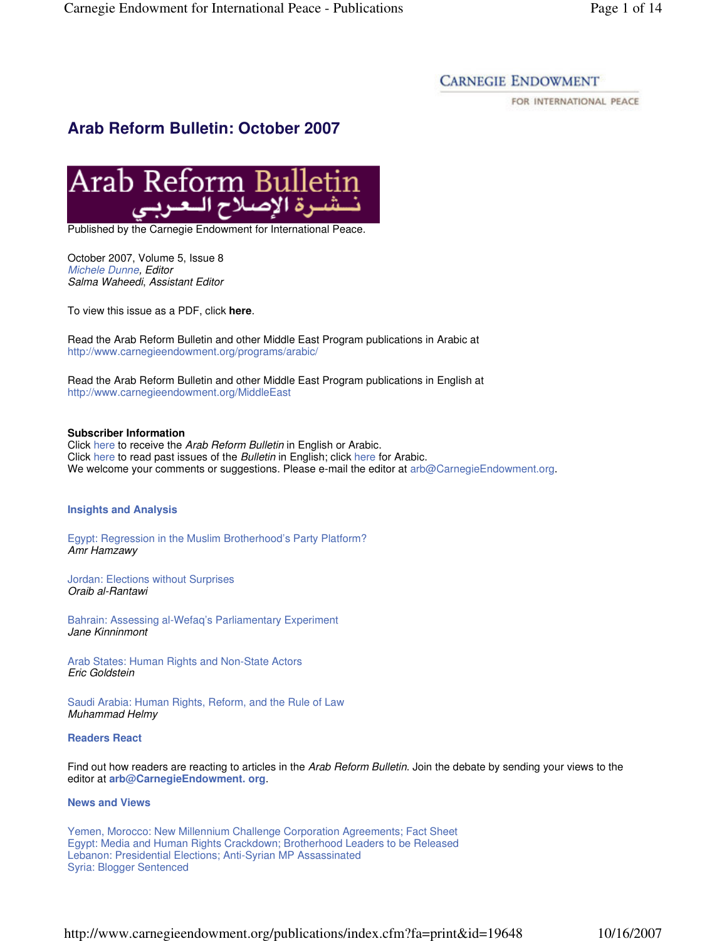## **CARNEGIE ENDOWMENT**

FOR INTERNATIONAL PEACE

# **Arab Reform Bulletin: October 2007**



Published by the Carnegie Endowment for International Peace.

October 2007, Volume 5, Issue 8 Michele Dunne, Editor Salma Waheedi, Assistant Editor

To view this issue as a PDF, click **here**.

Read the Arab Reform Bulletin and other Middle East Program publications in Arabic at http://www.carnegieendowment.org/programs/arabic/

Read the Arab Reform Bulletin and other Middle East Program publications in English at http://www.carnegieendowment.org/MiddleEast

#### **Subscriber Information**

Click here to receive the Arab Reform Bulletin in English or Arabic. Click here to read past issues of the Bulletin in English; click here for Arabic. We welcome your comments or suggestions. Please e-mail the editor at arb@CarnegieEndowment.org.

## **Insights and Analysis**

Egypt: Regression in the Muslim Brotherhood's Party Platform? Amr Hamzawy

Jordan: Elections without Surprises Oraib al-Rantawi

Bahrain: Assessing al-Wefaq's Parliamentary Experiment Jane Kinninmont

Arab States: Human Rights and Non-State Actors Eric Goldstein

Saudi Arabia: Human Rights, Reform, and the Rule of Law Muhammad Helmy

## **Readers React**

Find out how readers are reacting to articles in the Arab Reform Bulletin. Join the debate by sending your views to the editor at **arb@CarnegieEndowment. org**.

## **News and Views**

Yemen, Morocco: New Millennium Challenge Corporation Agreements; Fact Sheet Egypt: Media and Human Rights Crackdown; Brotherhood Leaders to be Released Lebanon: Presidential Elections; Anti-Syrian MP Assassinated Syria: Blogger Sentenced

http://www.carnegieendowment.org/publications/index.cfm?fa=print&id=19648 10/16/2007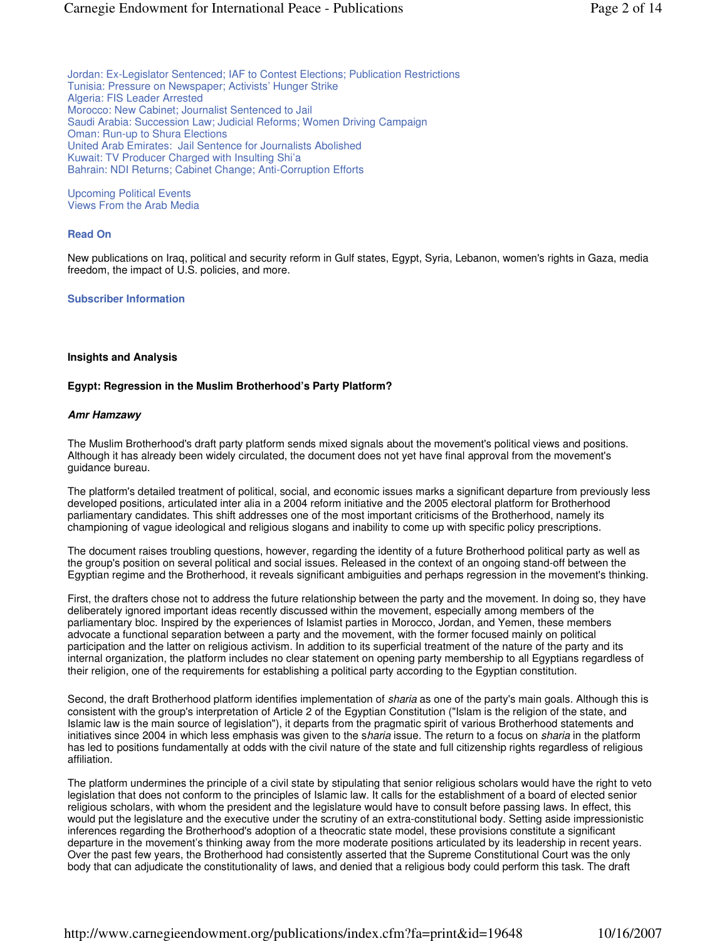Jordan: Ex-Legislator Sentenced; IAF to Contest Elections; Publication Restrictions Tunisia: Pressure on Newspaper; Activists' Hunger Strike Algeria: FIS Leader Arrested Morocco: New Cabinet; Journalist Sentenced to Jail Saudi Arabia: Succession Law; Judicial Reforms; Women Driving Campaign Oman: Run-up to Shura Elections United Arab Emirates: Jail Sentence for Journalists Abolished Kuwait: TV Producer Charged with Insulting Shi'a Bahrain: NDI Returns; Cabinet Change; Anti-Corruption Efforts

Upcoming Political Events Views From the Arab Media

## **Read On**

New publications on Iraq, political and security reform in Gulf states, Egypt, Syria, Lebanon, women's rights in Gaza, media freedom, the impact of U.S. policies, and more.

## **Subscriber Information**

#### **Insights and Analysis**

## **Egypt: Regression in the Muslim Brotherhood's Party Platform?**

#### **Amr Hamzawy**

The Muslim Brotherhood's draft party platform sends mixed signals about the movement's political views and positions. Although it has already been widely circulated, the document does not yet have final approval from the movement's guidance bureau.

The platform's detailed treatment of political, social, and economic issues marks a significant departure from previously less developed positions, articulated inter alia in a 2004 reform initiative and the 2005 electoral platform for Brotherhood parliamentary candidates. This shift addresses one of the most important criticisms of the Brotherhood, namely its championing of vague ideological and religious slogans and inability to come up with specific policy prescriptions.

The document raises troubling questions, however, regarding the identity of a future Brotherhood political party as well as the group's position on several political and social issues. Released in the context of an ongoing stand-off between the Egyptian regime and the Brotherhood, it reveals significant ambiguities and perhaps regression in the movement's thinking.

First, the drafters chose not to address the future relationship between the party and the movement. In doing so, they have deliberately ignored important ideas recently discussed within the movement, especially among members of the parliamentary bloc. Inspired by the experiences of Islamist parties in Morocco, Jordan, and Yemen, these members advocate a functional separation between a party and the movement, with the former focused mainly on political participation and the latter on religious activism. In addition to its superficial treatment of the nature of the party and its internal organization, the platform includes no clear statement on opening party membership to all Egyptians regardless of their religion, one of the requirements for establishing a political party according to the Egyptian constitution.

Second, the draft Brotherhood platform identifies implementation of sharia as one of the party's main goals. Although this is consistent with the group's interpretation of Article 2 of the Egyptian Constitution ("Islam is the religion of the state, and Islamic law is the main source of legislation"), it departs from the pragmatic spirit of various Brotherhood statements and initiatives since 2004 in which less emphasis was given to the sharia issue. The return to a focus on sharia in the platform has led to positions fundamentally at odds with the civil nature of the state and full citizenship rights regardless of religious affiliation.

The platform undermines the principle of a civil state by stipulating that senior religious scholars would have the right to veto legislation that does not conform to the principles of Islamic law. It calls for the establishment of a board of elected senior religious scholars, with whom the president and the legislature would have to consult before passing laws. In effect, this would put the legislature and the executive under the scrutiny of an extra-constitutional body. Setting aside impressionistic inferences regarding the Brotherhood's adoption of a theocratic state model, these provisions constitute a significant departure in the movement's thinking away from the more moderate positions articulated by its leadership in recent years. Over the past few years, the Brotherhood had consistently asserted that the Supreme Constitutional Court was the only body that can adjudicate the constitutionality of laws, and denied that a religious body could perform this task. The draft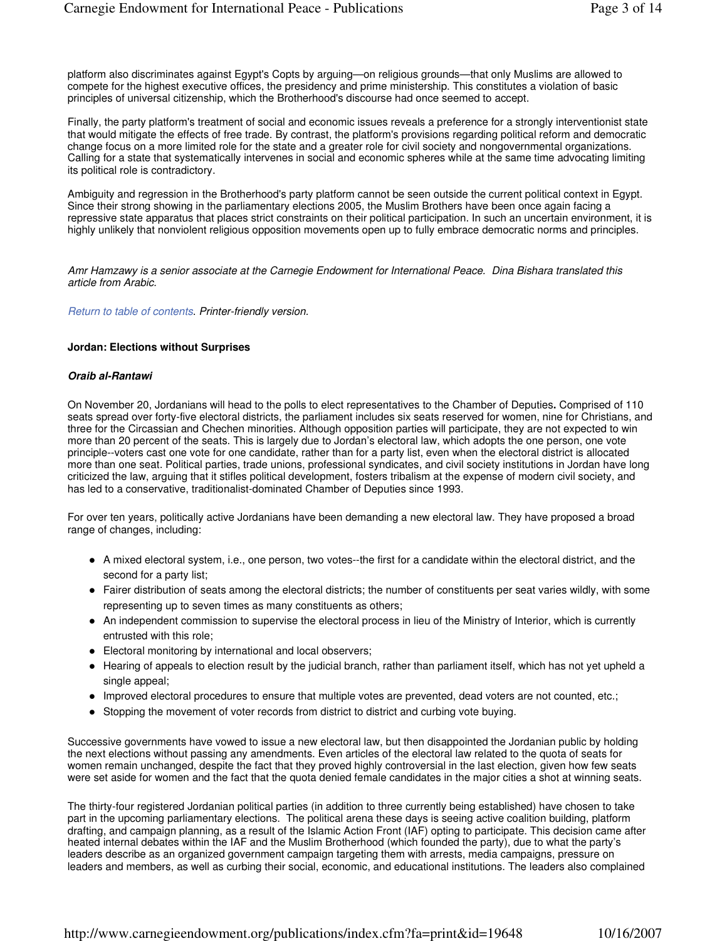platform also discriminates against Egypt's Copts by arguing—on religious grounds—that only Muslims are allowed to compete for the highest executive offices, the presidency and prime ministership. This constitutes a violation of basic principles of universal citizenship, which the Brotherhood's discourse had once seemed to accept.

Finally, the party platform's treatment of social and economic issues reveals a preference for a strongly interventionist state that would mitigate the effects of free trade. By contrast, the platform's provisions regarding political reform and democratic change focus on a more limited role for the state and a greater role for civil society and nongovernmental organizations. Calling for a state that systematically intervenes in social and economic spheres while at the same time advocating limiting its political role is contradictory.

Ambiguity and regression in the Brotherhood's party platform cannot be seen outside the current political context in Egypt. Since their strong showing in the parliamentary elections 2005, the Muslim Brothers have been once again facing a repressive state apparatus that places strict constraints on their political participation. In such an uncertain environment, it is highly unlikely that nonviolent religious opposition movements open up to fully embrace democratic norms and principles.

Amr Hamzawy is a senior associate at the Carnegie Endowment for International Peace. Dina Bishara translated this article from Arabic.

## Return to table of contents. Printer-friendly version.

## **Jordan: Elections without Surprises**

## **Oraib al-Rantawi**

On November 20, Jordanians will head to the polls to elect representatives to the Chamber of Deputies**.** Comprised of 110 seats spread over forty-five electoral districts, the parliament includes six seats reserved for women, nine for Christians, and three for the Circassian and Chechen minorities. Although opposition parties will participate, they are not expected to win more than 20 percent of the seats. This is largely due to Jordan's electoral law, which adopts the one person, one vote principle--voters cast one vote for one candidate, rather than for a party list, even when the electoral district is allocated more than one seat. Political parties, trade unions, professional syndicates, and civil society institutions in Jordan have long criticized the law, arguing that it stifles political development, fosters tribalism at the expense of modern civil society, and has led to a conservative, traditionalist-dominated Chamber of Deputies since 1993.

For over ten years, politically active Jordanians have been demanding a new electoral law. They have proposed a broad range of changes, including:

- A mixed electoral system, i.e., one person, two votes--the first for a candidate within the electoral district, and the second for a party list;
- Fairer distribution of seats among the electoral districts; the number of constituents per seat varies wildly, with some representing up to seven times as many constituents as others;
- An independent commission to supervise the electoral process in lieu of the Ministry of Interior, which is currently entrusted with this role;
- Electoral monitoring by international and local observers;
- Hearing of appeals to election result by the judicial branch, rather than parliament itself, which has not yet upheld a single appeal;
- Improved electoral procedures to ensure that multiple votes are prevented, dead voters are not counted, etc.;
- Stopping the movement of voter records from district to district and curbing vote buying.

Successive governments have vowed to issue a new electoral law, but then disappointed the Jordanian public by holding the next elections without passing any amendments. Even articles of the electoral law related to the quota of seats for women remain unchanged, despite the fact that they proved highly controversial in the last election, given how few seats were set aside for women and the fact that the quota denied female candidates in the major cities a shot at winning seats.

The thirty-four registered Jordanian political parties (in addition to three currently being established) have chosen to take part in the upcoming parliamentary elections. The political arena these days is seeing active coalition building, platform drafting, and campaign planning, as a result of the Islamic Action Front (IAF) opting to participate. This decision came after heated internal debates within the IAF and the Muslim Brotherhood (which founded the party), due to what the party's leaders describe as an organized government campaign targeting them with arrests, media campaigns, pressure on leaders and members, as well as curbing their social, economic, and educational institutions. The leaders also complained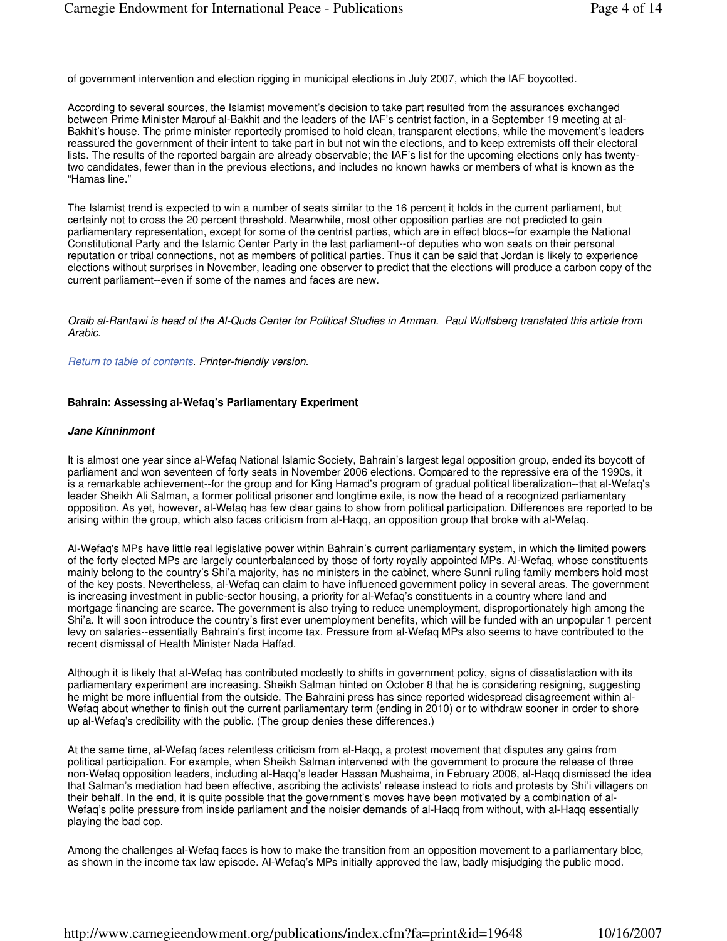of government intervention and election rigging in municipal elections in July 2007, which the IAF boycotted.

According to several sources, the Islamist movement's decision to take part resulted from the assurances exchanged between Prime Minister Marouf al-Bakhit and the leaders of the IAF's centrist faction, in a September 19 meeting at al-Bakhit's house. The prime minister reportedly promised to hold clean, transparent elections, while the movement's leaders reassured the government of their intent to take part in but not win the elections, and to keep extremists off their electoral lists. The results of the reported bargain are already observable; the IAF's list for the upcoming elections only has twentytwo candidates, fewer than in the previous elections, and includes no known hawks or members of what is known as the "Hamas line."

The Islamist trend is expected to win a number of seats similar to the 16 percent it holds in the current parliament, but certainly not to cross the 20 percent threshold. Meanwhile, most other opposition parties are not predicted to gain parliamentary representation, except for some of the centrist parties, which are in effect blocs--for example the National Constitutional Party and the Islamic Center Party in the last parliament--of deputies who won seats on their personal reputation or tribal connections, not as members of political parties. Thus it can be said that Jordan is likely to experience elections without surprises in November, leading one observer to predict that the elections will produce a carbon copy of the current parliament--even if some of the names and faces are new.

Oraib al-Rantawi is head of the Al-Quds Center for Political Studies in Amman. Paul Wulfsberg translated this article from Arabic.

Return to table of contents. Printer-friendly version.

#### **Bahrain: Assessing al-Wefaq's Parliamentary Experiment**

#### **Jane Kinninmont**

It is almost one year since al-Wefaq National Islamic Society, Bahrain's largest legal opposition group, ended its boycott of parliament and won seventeen of forty seats in November 2006 elections. Compared to the repressive era of the 1990s, it is a remarkable achievement--for the group and for King Hamad's program of gradual political liberalization--that al-Wefaq's leader Sheikh Ali Salman, a former political prisoner and longtime exile, is now the head of a recognized parliamentary opposition. As yet, however, al-Wefaq has few clear gains to show from political participation. Differences are reported to be arising within the group, which also faces criticism from al-Haqq, an opposition group that broke with al-Wefaq.

Al-Wefaq's MPs have little real legislative power within Bahrain's current parliamentary system, in which the limited powers of the forty elected MPs are largely counterbalanced by those of forty royally appointed MPs. Al-Wefaq, whose constituents mainly belong to the country's Shi'a majority, has no ministers in the cabinet, where Sunni ruling family members hold most of the key posts. Nevertheless, al-Wefaq can claim to have influenced government policy in several areas. The government is increasing investment in public-sector housing, a priority for al-Wefaq's constituents in a country where land and mortgage financing are scarce. The government is also trying to reduce unemployment, disproportionately high among the Shi'a. It will soon introduce the country's first ever unemployment benefits, which will be funded with an unpopular 1 percent levy on salaries--essentially Bahrain's first income tax. Pressure from al-Wefaq MPs also seems to have contributed to the recent dismissal of Health Minister Nada Haffad.

Although it is likely that al-Wefaq has contributed modestly to shifts in government policy, signs of dissatisfaction with its parliamentary experiment are increasing. Sheikh Salman hinted on October 8 that he is considering resigning, suggesting he might be more influential from the outside. The Bahraini press has since reported widespread disagreement within al-Wefaq about whether to finish out the current parliamentary term (ending in 2010) or to withdraw sooner in order to shore up al-Wefaq's credibility with the public. (The group denies these differences.)

At the same time, al-Wefaq faces relentless criticism from al-Haqq, a protest movement that disputes any gains from political participation. For example, when Sheikh Salman intervened with the government to procure the release of three non-Wefaq opposition leaders, including al-Haqq's leader Hassan Mushaima, in February 2006, al-Haqq dismissed the idea that Salman's mediation had been effective, ascribing the activists' release instead to riots and protests by Shi'i villagers on their behalf. In the end, it is quite possible that the government's moves have been motivated by a combination of al-Wefaq's polite pressure from inside parliament and the noisier demands of al-Haqq from without, with al-Haqq essentially playing the bad cop.

Among the challenges al-Wefaq faces is how to make the transition from an opposition movement to a parliamentary bloc, as shown in the income tax law episode. Al-Wefaq's MPs initially approved the law, badly misjudging the public mood.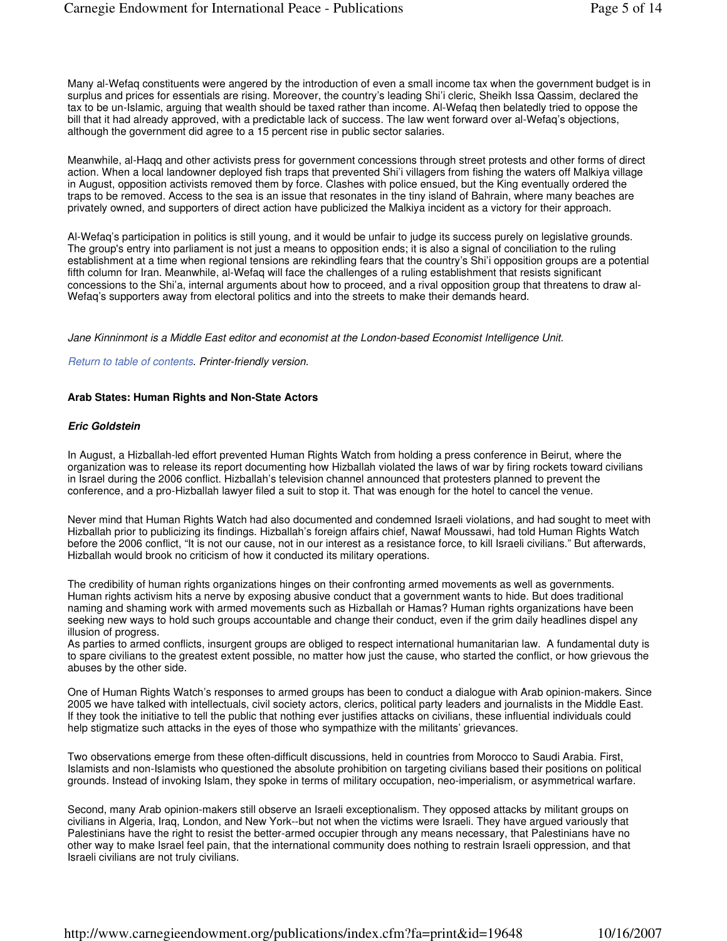Many al-Wefaq constituents were angered by the introduction of even a small income tax when the government budget is in surplus and prices for essentials are rising. Moreover, the country's leading Shi'i cleric, Sheikh Issa Qassim, declared the tax to be un-Islamic, arguing that wealth should be taxed rather than income. Al-Wefaq then belatedly tried to oppose the bill that it had already approved, with a predictable lack of success. The law went forward over al-Wefaq's objections, although the government did agree to a 15 percent rise in public sector salaries.

Meanwhile, al-Haqq and other activists press for government concessions through street protests and other forms of direct action. When a local landowner deployed fish traps that prevented Shi'i villagers from fishing the waters off Malkiya village in August, opposition activists removed them by force. Clashes with police ensued, but the King eventually ordered the traps to be removed. Access to the sea is an issue that resonates in the tiny island of Bahrain, where many beaches are privately owned, and supporters of direct action have publicized the Malkiya incident as a victory for their approach.

Al-Wefaq's participation in politics is still young, and it would be unfair to judge its success purely on legislative grounds. The group's entry into parliament is not just a means to opposition ends; it is also a signal of conciliation to the ruling establishment at a time when regional tensions are rekindling fears that the country's Shi'i opposition groups are a potential fifth column for Iran. Meanwhile, al-Wefaq will face the challenges of a ruling establishment that resists significant concessions to the Shi'a, internal arguments about how to proceed, and a rival opposition group that threatens to draw al-Wefaq's supporters away from electoral politics and into the streets to make their demands heard.

Jane Kinninmont is a Middle East editor and economist at the London-based Economist Intelligence Unit.

Return to table of contents. Printer-friendly version.

## **Arab States: Human Rights and Non-State Actors**

## **Eric Goldstein**

In August, a Hizballah-led effort prevented Human Rights Watch from holding a press conference in Beirut, where the organization was to release its report documenting how Hizballah violated the laws of war by firing rockets toward civilians in Israel during the 2006 conflict. Hizballah's television channel announced that protesters planned to prevent the conference, and a pro-Hizballah lawyer filed a suit to stop it. That was enough for the hotel to cancel the venue.

Never mind that Human Rights Watch had also documented and condemned Israeli violations, and had sought to meet with Hizballah prior to publicizing its findings. Hizballah's foreign affairs chief, Nawaf Moussawi, had told Human Rights Watch before the 2006 conflict, "It is not our cause, not in our interest as a resistance force, to kill Israeli civilians." But afterwards, Hizballah would brook no criticism of how it conducted its military operations.

The credibility of human rights organizations hinges on their confronting armed movements as well as governments. Human rights activism hits a nerve by exposing abusive conduct that a government wants to hide. But does traditional naming and shaming work with armed movements such as Hizballah or Hamas? Human rights organizations have been seeking new ways to hold such groups accountable and change their conduct, even if the grim daily headlines dispel any illusion of progress.

As parties to armed conflicts, insurgent groups are obliged to respect international humanitarian law. A fundamental duty is to spare civilians to the greatest extent possible, no matter how just the cause, who started the conflict, or how grievous the abuses by the other side.

One of Human Rights Watch's responses to armed groups has been to conduct a dialogue with Arab opinion-makers. Since 2005 we have talked with intellectuals, civil society actors, clerics, political party leaders and journalists in the Middle East. If they took the initiative to tell the public that nothing ever justifies attacks on civilians, these influential individuals could help stigmatize such attacks in the eyes of those who sympathize with the militants' grievances.

Two observations emerge from these often-difficult discussions, held in countries from Morocco to Saudi Arabia. First, Islamists and non-Islamists who questioned the absolute prohibition on targeting civilians based their positions on political grounds. Instead of invoking Islam, they spoke in terms of military occupation, neo-imperialism, or asymmetrical warfare.

Second, many Arab opinion-makers still observe an Israeli exceptionalism. They opposed attacks by militant groups on civilians in Algeria, Iraq, London, and New York--but not when the victims were Israeli. They have argued variously that Palestinians have the right to resist the better-armed occupier through any means necessary, that Palestinians have no other way to make Israel feel pain, that the international community does nothing to restrain Israeli oppression, and that Israeli civilians are not truly civilians.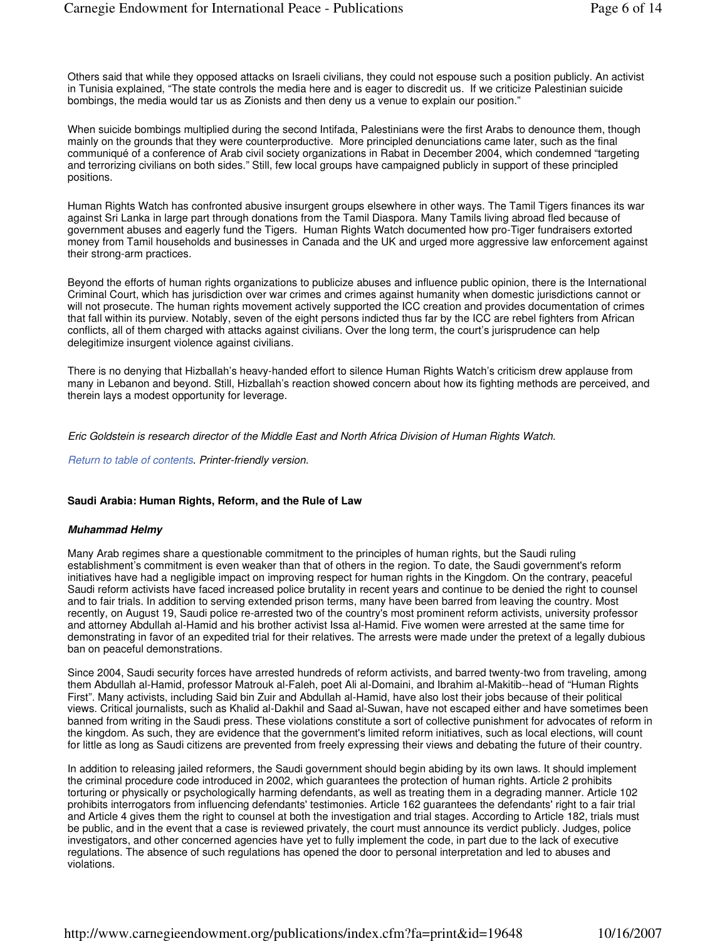Others said that while they opposed attacks on Israeli civilians, they could not espouse such a position publicly. An activist in Tunisia explained, "The state controls the media here and is eager to discredit us. If we criticize Palestinian suicide bombings, the media would tar us as Zionists and then deny us a venue to explain our position."

When suicide bombings multiplied during the second Intifada, Palestinians were the first Arabs to denounce them, though mainly on the grounds that they were counterproductive. More principled denunciations came later, such as the final communiqué of a conference of Arab civil society organizations in Rabat in December 2004, which condemned "targeting and terrorizing civilians on both sides." Still, few local groups have campaigned publicly in support of these principled positions.

Human Rights Watch has confronted abusive insurgent groups elsewhere in other ways. The Tamil Tigers finances its war against Sri Lanka in large part through donations from the Tamil Diaspora. Many Tamils living abroad fled because of government abuses and eagerly fund the Tigers. Human Rights Watch documented how pro-Tiger fundraisers extorted money from Tamil households and businesses in Canada and the UK and urged more aggressive law enforcement against their strong-arm practices.

Beyond the efforts of human rights organizations to publicize abuses and influence public opinion, there is the International Criminal Court, which has jurisdiction over war crimes and crimes against humanity when domestic jurisdictions cannot or will not prosecute. The human rights movement actively supported the ICC creation and provides documentation of crimes that fall within its purview. Notably, seven of the eight persons indicted thus far by the ICC are rebel fighters from African conflicts, all of them charged with attacks against civilians. Over the long term, the court's jurisprudence can help delegitimize insurgent violence against civilians.

There is no denying that Hizballah's heavy-handed effort to silence Human Rights Watch's criticism drew applause from many in Lebanon and beyond. Still, Hizballah's reaction showed concern about how its fighting methods are perceived, and therein lays a modest opportunity for leverage.

Eric Goldstein is research director of the Middle East and North Africa Division of Human Rights Watch.

Return to table of contents. Printer-friendly version.

#### **Saudi Arabia: Human Rights, Reform, and the Rule of Law**

#### **Muhammad Helmy**

Many Arab regimes share a questionable commitment to the principles of human rights, but the Saudi ruling establishment's commitment is even weaker than that of others in the region. To date, the Saudi government's reform initiatives have had a negligible impact on improving respect for human rights in the Kingdom. On the contrary, peaceful Saudi reform activists have faced increased police brutality in recent years and continue to be denied the right to counsel and to fair trials. In addition to serving extended prison terms, many have been barred from leaving the country. Most recently, on August 19, Saudi police re-arrested two of the country's most prominent reform activists, university professor and attorney Abdullah al-Hamid and his brother activist Issa al-Hamid. Five women were arrested at the same time for demonstrating in favor of an expedited trial for their relatives. The arrests were made under the pretext of a legally dubious ban on peaceful demonstrations.

Since 2004, Saudi security forces have arrested hundreds of reform activists, and barred twenty-two from traveling, among them Abdullah al-Hamid, professor Matrouk al-Faleh, poet Ali al-Domaini, and Ibrahim al-Makitib--head of "Human Rights First". Many activists, including Said bin Zuir and Abdullah al-Hamid, have also lost their jobs because of their political views. Critical journalists, such as Khalid al-Dakhil and Saad al-Suwan, have not escaped either and have sometimes been banned from writing in the Saudi press. These violations constitute a sort of collective punishment for advocates of reform in the kingdom. As such, they are evidence that the government's limited reform initiatives, such as local elections, will count for little as long as Saudi citizens are prevented from freely expressing their views and debating the future of their country.

In addition to releasing jailed reformers, the Saudi government should begin abiding by its own laws. It should implement the criminal procedure code introduced in 2002, which guarantees the protection of human rights. Article 2 prohibits torturing or physically or psychologically harming defendants, as well as treating them in a degrading manner. Article 102 prohibits interrogators from influencing defendants' testimonies. Article 162 guarantees the defendants' right to a fair trial and Article 4 gives them the right to counsel at both the investigation and trial stages. According to Article 182, trials must be public, and in the event that a case is reviewed privately, the court must announce its verdict publicly. Judges, police investigators, and other concerned agencies have yet to fully implement the code, in part due to the lack of executive regulations. The absence of such regulations has opened the door to personal interpretation and led to abuses and violations.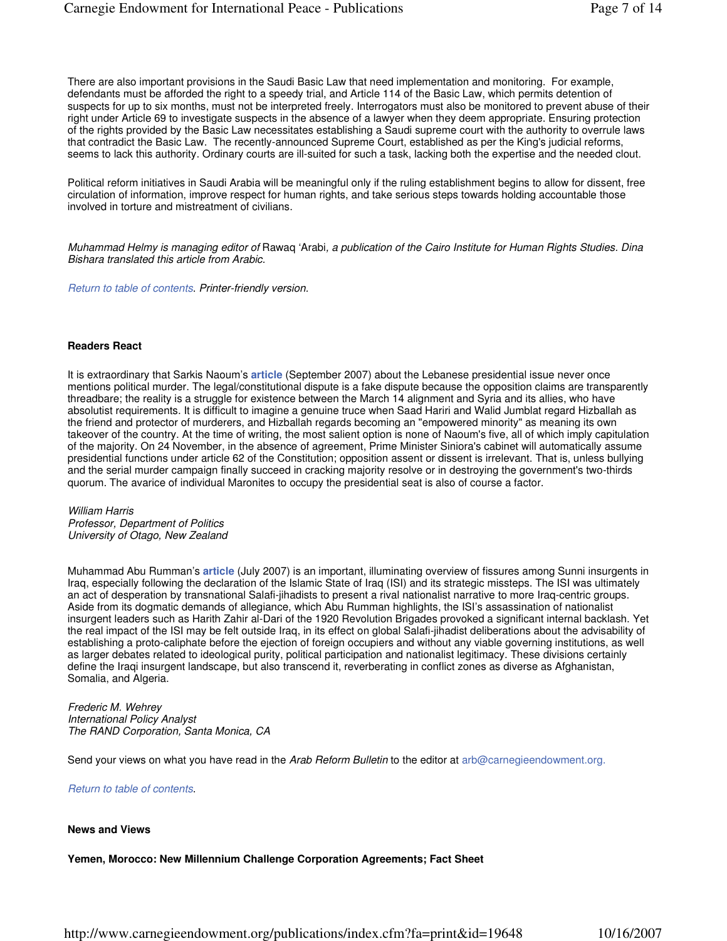There are also important provisions in the Saudi Basic Law that need implementation and monitoring. For example, defendants must be afforded the right to a speedy trial, and Article 114 of the Basic Law, which permits detention of suspects for up to six months, must not be interpreted freely. Interrogators must also be monitored to prevent abuse of their right under Article 69 to investigate suspects in the absence of a lawyer when they deem appropriate. Ensuring protection of the rights provided by the Basic Law necessitates establishing a Saudi supreme court with the authority to overrule laws that contradict the Basic Law. The recently-announced Supreme Court, established as per the King's judicial reforms, seems to lack this authority. Ordinary courts are ill-suited for such a task, lacking both the expertise and the needed clout.

Political reform initiatives in Saudi Arabia will be meaningful only if the ruling establishment begins to allow for dissent, free circulation of information, improve respect for human rights, and take serious steps towards holding accountable those involved in torture and mistreatment of civilians.

Muhammad Helmy is managing editor of Rawaq 'Arabi, a publication of the Cairo Institute for Human Rights Studies. Dina Bishara translated this article from Arabic.

Return to table of contents. Printer-friendly version.

## **Readers React**

It is extraordinary that Sarkis Naoum's **article** (September 2007) about the Lebanese presidential issue never once mentions political murder. The legal/constitutional dispute is a fake dispute because the opposition claims are transparently threadbare; the reality is a struggle for existence between the March 14 alignment and Syria and its allies, who have absolutist requirements. It is difficult to imagine a genuine truce when Saad Hariri and Walid Jumblat regard Hizballah as the friend and protector of murderers, and Hizballah regards becoming an "empowered minority" as meaning its own takeover of the country. At the time of writing, the most salient option is none of Naoum's five, all of which imply capitulation of the majority. On 24 November, in the absence of agreement, Prime Minister Siniora's cabinet will automatically assume presidential functions under article 62 of the Constitution; opposition assent or dissent is irrelevant. That is, unless bullying and the serial murder campaign finally succeed in cracking majority resolve or in destroying the government's two-thirds quorum. The avarice of individual Maronites to occupy the presidential seat is also of course a factor.

William Harris Professor, Department of Politics University of Otago, New Zealand

Muhammad Abu Rumman's **article** (July 2007) is an important, illuminating overview of fissures among Sunni insurgents in Iraq, especially following the declaration of the Islamic State of Iraq (ISI) and its strategic missteps. The ISI was ultimately an act of desperation by transnational Salafi-jihadists to present a rival nationalist narrative to more Iraq-centric groups. Aside from its dogmatic demands of allegiance, which Abu Rumman highlights, the ISI's assassination of nationalist insurgent leaders such as Harith Zahir al-Dari of the 1920 Revolution Brigades provoked a significant internal backlash. Yet the real impact of the ISI may be felt outside Iraq, in its effect on global Salafi-jihadist deliberations about the advisability of establishing a proto-caliphate before the ejection of foreign occupiers and without any viable governing institutions, as well as larger debates related to ideological purity, political participation and nationalist legitimacy. These divisions certainly define the Iraqi insurgent landscape, but also transcend it, reverberating in conflict zones as diverse as Afghanistan, Somalia, and Algeria.

#### Frederic M. Wehrey International Policy Analyst The RAND Corporation, Santa Monica, CA

Send your views on what you have read in the Arab Reform Bulletin to the editor at arb@carnegieendowment.org.

Return to table of contents.

#### **News and Views**

**Yemen, Morocco: New Millennium Challenge Corporation Agreements; Fact Sheet**

http://www.carnegieendowment.org/publications/index.cfm?fa=print&id=19648 10/16/2007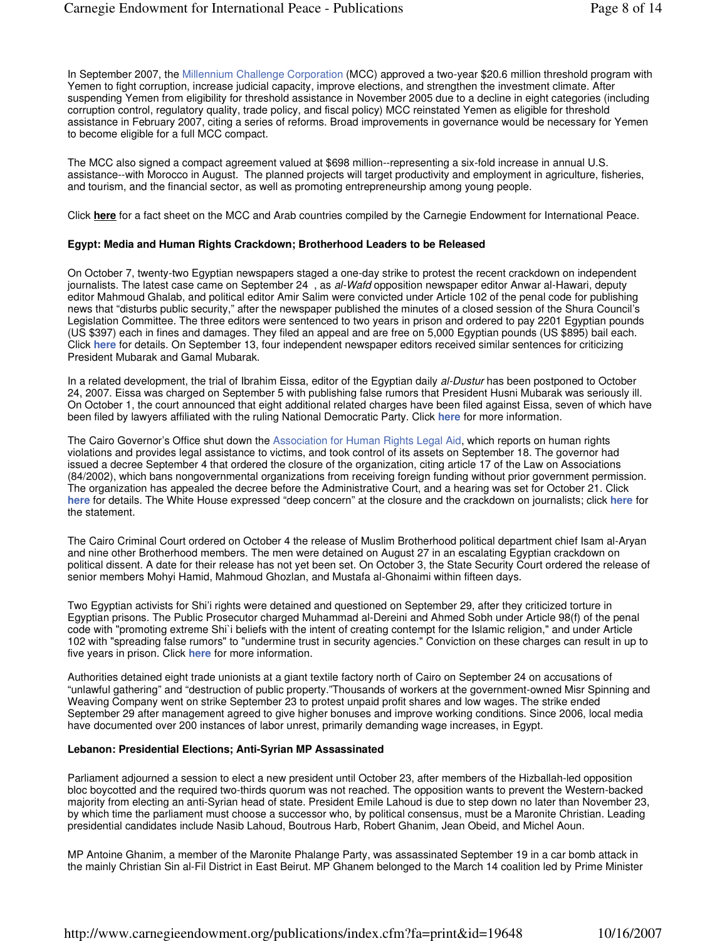In September 2007, the Millennium Challenge Corporation (MCC) approved a two-year \$20.6 million threshold program with Yemen to fight corruption, increase judicial capacity, improve elections, and strengthen the investment climate. After suspending Yemen from eligibility for threshold assistance in November 2005 due to a decline in eight categories (including corruption control, regulatory quality, trade policy, and fiscal policy) MCC reinstated Yemen as eligible for threshold assistance in February 2007, citing a series of reforms. Broad improvements in governance would be necessary for Yemen to become eligible for a full MCC compact.

The MCC also signed a compact agreement valued at \$698 million--representing a six-fold increase in annual U.S. assistance--with Morocco in August. The planned projects will target productivity and employment in agriculture, fisheries, and tourism, and the financial sector, as well as promoting entrepreneurship among young people.

Click **here** for a fact sheet on the MCC and Arab countries compiled by the Carnegie Endowment for International Peace.

## **Egypt: Media and Human Rights Crackdown; Brotherhood Leaders to be Released**

On October 7, twenty-two Egyptian newspapers staged a one-day strike to protest the recent crackdown on independent journalists. The latest case came on September 24, as al-Wafd opposition newspaper editor Anwar al-Hawari, deputy editor Mahmoud Ghalab, and political editor Amir Salim were convicted under Article 102 of the penal code for publishing news that "disturbs public security," after the newspaper published the minutes of a closed session of the Shura Council's Legislation Committee. The three editors were sentenced to two years in prison and ordered to pay 2201 Egyptian pounds (US \$397) each in fines and damages. They filed an appeal and are free on 5,000 Egyptian pounds (US \$895) bail each. Click **here** for details. On September 13, four independent newspaper editors received similar sentences for criticizing President Mubarak and Gamal Mubarak.

In a related development, the trial of Ibrahim Eissa, editor of the Egyptian daily al-Dustur has been postponed to October 24, 2007. Eissa was charged on September 5 with publishing false rumors that President Husni Mubarak was seriously ill. On October 1, the court announced that eight additional related charges have been filed against Eissa, seven of which have been filed by lawyers affiliated with the ruling National Democratic Party. Click **here** for more information.

The Cairo Governor's Office shut down the Association for Human Rights Legal Aid, which reports on human rights violations and provides legal assistance to victims, and took control of its assets on September 18. The governor had issued a decree September 4 that ordered the closure of the organization, citing article 17 of the Law on Associations (84/2002), which bans nongovernmental organizations from receiving foreign funding without prior government permission. The organization has appealed the decree before the Administrative Court, and a hearing was set for October 21. Click **here** for details. The White House expressed "deep concern" at the closure and the crackdown on journalists; click **here** for the statement.

The Cairo Criminal Court ordered on October 4 the release of Muslim Brotherhood political department chief Isam al-Aryan and nine other Brotherhood members. The men were detained on August 27 in an escalating Egyptian crackdown on political dissent. A date for their release has not yet been set. On October 3, the State Security Court ordered the release of senior members Mohyi Hamid, Mahmoud Ghozlan, and Mustafa al-Ghonaimi within fifteen days.

Two Egyptian activists for Shi'i rights were detained and questioned on September 29, after they criticized torture in Egyptian prisons. The Public Prosecutor charged Muhammad al-Dereini and Ahmed Sobh under Article 98(f) of the penal code with "promoting extreme Shi`i beliefs with the intent of creating contempt for the Islamic religion," and under Article 102 with "spreading false rumors" to "undermine trust in security agencies." Conviction on these charges can result in up to five years in prison. Click **here** for more information.

Authorities detained eight trade unionists at a giant textile factory north of Cairo on September 24 on accusations of "unlawful gathering" and "destruction of public property."Thousands of workers at the government-owned Misr Spinning and Weaving Company went on strike September 23 to protest unpaid profit shares and low wages. The strike ended September 29 after management agreed to give higher bonuses and improve working conditions. Since 2006, local media have documented over 200 instances of labor unrest, primarily demanding wage increases, in Egypt.

#### **Lebanon: Presidential Elections; Anti-Syrian MP Assassinated**

Parliament adjourned a session to elect a new president until October 23, after members of the Hizballah-led opposition bloc boycotted and the required two-thirds quorum was not reached. The opposition wants to prevent the Western-backed majority from electing an anti-Syrian head of state. President Emile Lahoud is due to step down no later than November 23, by which time the parliament must choose a successor who, by political consensus, must be a Maronite Christian. Leading presidential candidates include Nasib Lahoud, Boutrous Harb, Robert Ghanim, Jean Obeid, and Michel Aoun.

MP Antoine Ghanim, a member of the Maronite Phalange Party, was assassinated September 19 in a car bomb attack in the mainly Christian Sin al-Fil District in East Beirut. MP Ghanem belonged to the March 14 coalition led by Prime Minister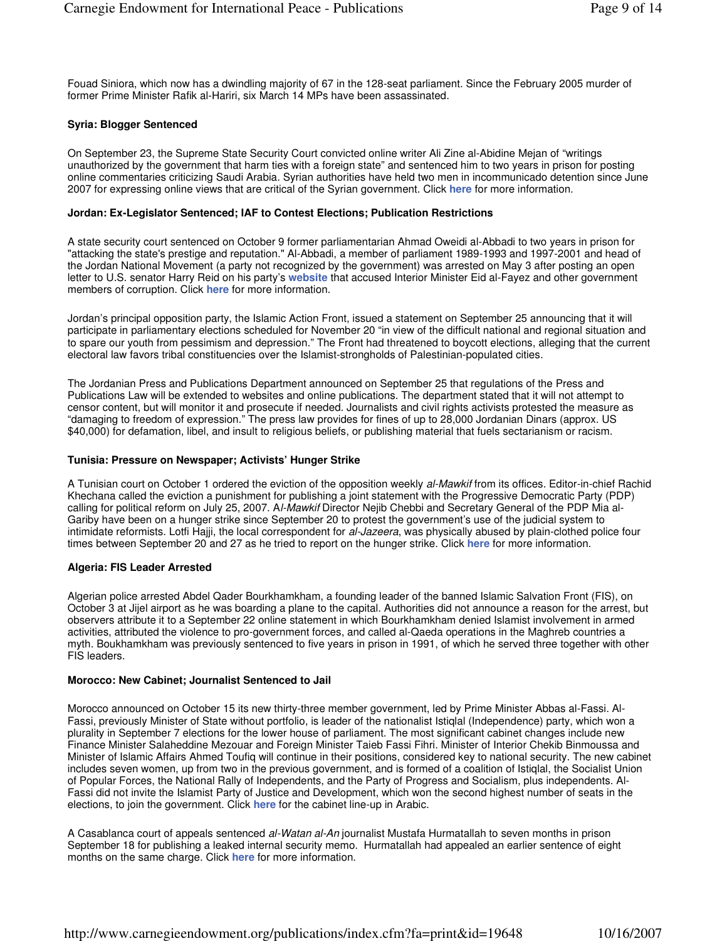Fouad Siniora, which now has a dwindling majority of 67 in the 128-seat parliament. Since the February 2005 murder of former Prime Minister Rafik al-Hariri, six March 14 MPs have been assassinated.

## **Syria: Blogger Sentenced**

On September 23, the Supreme State Security Court convicted online writer Ali Zine al-Abidine Mejan of "writings unauthorized by the government that harm ties with a foreign state" and sentenced him to two years in prison for posting online commentaries criticizing Saudi Arabia. Syrian authorities have held two men in incommunicado detention since June 2007 for expressing online views that are critical of the Syrian government. Click **here** for more information.

## **Jordan: Ex-Legislator Sentenced; IAF to Contest Elections; Publication Restrictions**

A state security court sentenced on October 9 former parliamentarian Ahmad Oweidi al-Abbadi to two years in prison for "attacking the state's prestige and reputation." Al-Abbadi, a member of parliament 1989-1993 and 1997-2001 and head of the Jordan National Movement (a party not recognized by the government) was arrested on May 3 after posting an open letter to U.S. senator Harry Reid on his party's **website** that accused Interior Minister Eid al-Fayez and other government members of corruption. Click **here** for more information.

Jordan's principal opposition party, the Islamic Action Front, issued a statement on September 25 announcing that it will participate in parliamentary elections scheduled for November 20 "in view of the difficult national and regional situation and to spare our youth from pessimism and depression." The Front had threatened to boycott elections, alleging that the current electoral law favors tribal constituencies over the Islamist-strongholds of Palestinian-populated cities.

The Jordanian Press and Publications Department announced on September 25 that regulations of the Press and Publications Law will be extended to websites and online publications. The department stated that it will not attempt to censor content, but will monitor it and prosecute if needed. Journalists and civil rights activists protested the measure as "damaging to freedom of expression." The press law provides for fines of up to 28,000 Jordanian Dinars (approx. US \$40,000) for defamation, libel, and insult to religious beliefs, or publishing material that fuels sectarianism or racism.

## **Tunisia: Pressure on Newspaper; Activists' Hunger Strike**

A Tunisian court on October 1 ordered the eviction of the opposition weekly al-Mawkif from its offices. Editor-in-chief Rachid Khechana called the eviction a punishment for publishing a joint statement with the Progressive Democratic Party (PDP) calling for political reform on July 25, 2007. Al-Mawkif Director Nejib Chebbi and Secretary General of the PDP Mia al-Gariby have been on a hunger strike since September 20 to protest the government's use of the judicial system to intimidate reformists. Lotfi Hajji, the local correspondent for al-Jazeera, was physically abused by plain-clothed police four times between September 20 and 27 as he tried to report on the hunger strike. Click **here** for more information.

#### **Algeria: FIS Leader Arrested**

Algerian police arrested Abdel Qader Bourkhamkham, a founding leader of the banned Islamic Salvation Front (FIS), on October 3 at Jijel airport as he was boarding a plane to the capital. Authorities did not announce a reason for the arrest, but observers attribute it to a September 22 online statement in which Bourkhamkham denied Islamist involvement in armed activities, attributed the violence to pro-government forces, and called al-Qaeda operations in the Maghreb countries a myth. Boukhamkham was previously sentenced to five years in prison in 1991, of which he served three together with other FIS leaders.

#### **Morocco: New Cabinet; Journalist Sentenced to Jail**

Morocco announced on October 15 its new thirty-three member government, led by Prime Minister Abbas al-Fassi. Al-Fassi, previously Minister of State without portfolio, is leader of the nationalist Istiqlal (Independence) party, which won a plurality in September 7 elections for the lower house of parliament. The most significant cabinet changes include new Finance Minister Salaheddine Mezouar and Foreign Minister Taieb Fassi Fihri. Minister of Interior Chekib Binmoussa and Minister of Islamic Affairs Ahmed Toufiq will continue in their positions, considered key to national security. The new cabinet includes seven women, up from two in the previous government, and is formed of a coalition of Istiqlal, the Socialist Union of Popular Forces, the National Rally of Independents, and the Party of Progress and Socialism, plus independents. Al-Fassi did not invite the Islamist Party of Justice and Development, which won the second highest number of seats in the elections, to join the government. Click **here** for the cabinet line-up in Arabic.

A Casablanca court of appeals sentenced al-Watan al-An journalist Mustafa Hurmatallah to seven months in prison September 18 for publishing a leaked internal security memo. Hurmatallah had appealed an earlier sentence of eight months on the same charge. Click **here** for more information.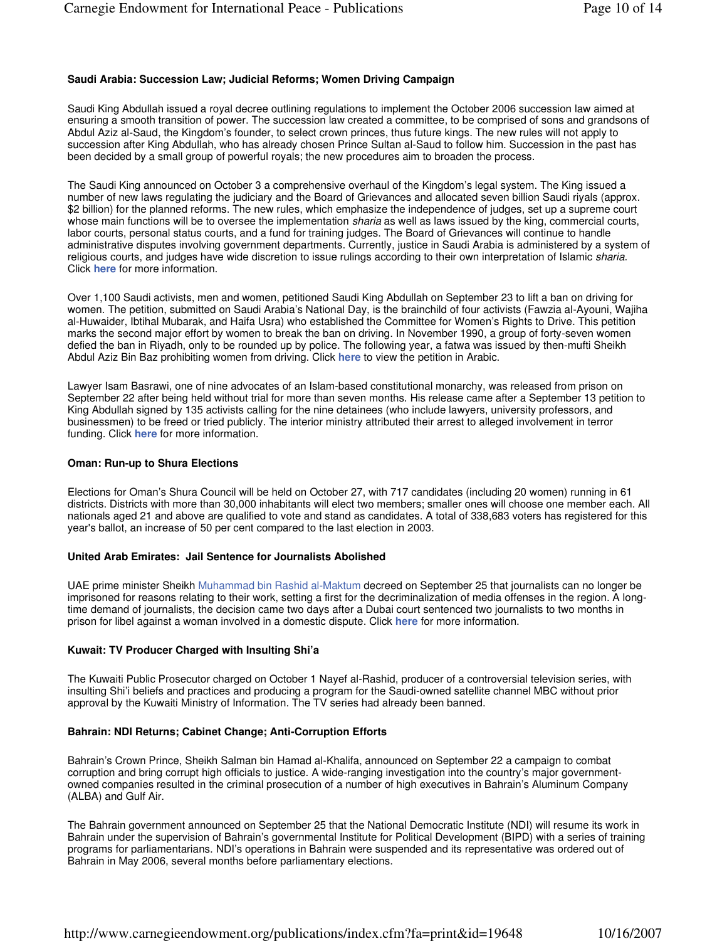## **Saudi Arabia: Succession Law; Judicial Reforms; Women Driving Campaign**

Saudi King Abdullah issued a royal decree outlining regulations to implement the October 2006 succession law aimed at ensuring a smooth transition of power. The succession law created a committee, to be comprised of sons and grandsons of Abdul Aziz al-Saud, the Kingdom's founder, to select crown princes, thus future kings. The new rules will not apply to succession after King Abdullah, who has already chosen Prince Sultan al-Saud to follow him. Succession in the past has been decided by a small group of powerful royals; the new procedures aim to broaden the process.

The Saudi King announced on October 3 a comprehensive overhaul of the Kingdom's legal system. The King issued a number of new laws regulating the judiciary and the Board of Grievances and allocated seven billion Saudi riyals (approx. \$2 billion) for the planned reforms. The new rules, which emphasize the independence of judges, set up a supreme court whose main functions will be to oversee the implementation *sharia* as well as laws issued by the king, commercial courts, labor courts, personal status courts, and a fund for training judges. The Board of Grievances will continue to handle administrative disputes involving government departments. Currently, justice in Saudi Arabia is administered by a system of religious courts, and judges have wide discretion to issue rulings according to their own interpretation of Islamic sharia. Click **here** for more information.

Over 1,100 Saudi activists, men and women, petitioned Saudi King Abdullah on September 23 to lift a ban on driving for women. The petition, submitted on Saudi Arabia's National Day, is the brainchild of four activists (Fawzia al-Ayouni, Wajiha al-Huwaider, Ibtihal Mubarak, and Haifa Usra) who established the Committee for Women's Rights to Drive. This petition marks the second major effort by women to break the ban on driving. In November 1990, a group of forty-seven women defied the ban in Riyadh, only to be rounded up by police. The following year, a fatwa was issued by then-mufti Sheikh Abdul Aziz Bin Baz prohibiting women from driving. Click **here** to view the petition in Arabic.

Lawyer Isam Basrawi, one of nine advocates of an Islam-based constitutional monarchy, was released from prison on September 22 after being held without trial for more than seven months. His release came after a September 13 petition to King Abdullah signed by 135 activists calling for the nine detainees (who include lawyers, university professors, and businessmen) to be freed or tried publicly. The interior ministry attributed their arrest to alleged involvement in terror funding. Click **here** for more information.

#### **Oman: Run-up to Shura Elections**

Elections for Oman's Shura Council will be held on October 27, with 717 candidates (including 20 women) running in 61 districts. Districts with more than 30,000 inhabitants will elect two members; smaller ones will choose one member each. All nationals aged 21 and above are qualified to vote and stand as candidates. A total of 338,683 voters has registered for this year's ballot, an increase of 50 per cent compared to the last election in 2003.

#### **United Arab Emirates: Jail Sentence for Journalists Abolished**

UAE prime minister Sheikh Muhammad bin Rashid al-Maktum decreed on September 25 that journalists can no longer be imprisoned for reasons relating to their work, setting a first for the decriminalization of media offenses in the region. A longtime demand of journalists, the decision came two days after a Dubai court sentenced two journalists to two months in prison for libel against a woman involved in a domestic dispute. Click **here** for more information.

#### **Kuwait: TV Producer Charged with Insulting Shi'a**

The Kuwaiti Public Prosecutor charged on October 1 Nayef al-Rashid, producer of a controversial television series, with insulting Shi'i beliefs and practices and producing a program for the Saudi-owned satellite channel MBC without prior approval by the Kuwaiti Ministry of Information. The TV series had already been banned.

#### **Bahrain: NDI Returns; Cabinet Change; Anti-Corruption Efforts**

Bahrain's Crown Prince, Sheikh Salman bin Hamad al-Khalifa, announced on September 22 a campaign to combat corruption and bring corrupt high officials to justice. A wide-ranging investigation into the country's major governmentowned companies resulted in the criminal prosecution of a number of high executives in Bahrain's Aluminum Company (ALBA) and Gulf Air.

The Bahrain government announced on September 25 that the National Democratic Institute (NDI) will resume its work in Bahrain under the supervision of Bahrain's governmental Institute for Political Development (BIPD) with a series of training programs for parliamentarians. NDI's operations in Bahrain were suspended and its representative was ordered out of Bahrain in May 2006, several months before parliamentary elections.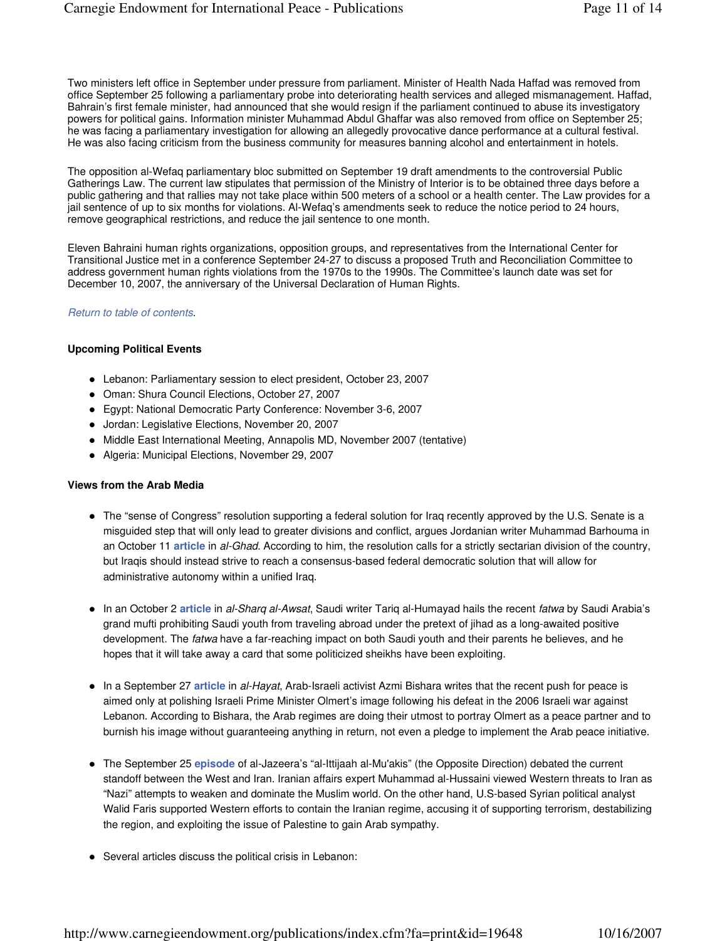Two ministers left office in September under pressure from parliament. Minister of Health Nada Haffad was removed from office September 25 following a parliamentary probe into deteriorating health services and alleged mismanagement. Haffad, Bahrain's first female minister, had announced that she would resign if the parliament continued to abuse its investigatory powers for political gains. Information minister Muhammad Abdul Ghaffar was also removed from office on September 25; he was facing a parliamentary investigation for allowing an allegedly provocative dance performance at a cultural festival. He was also facing criticism from the business community for measures banning alcohol and entertainment in hotels.

The opposition al-Wefaq parliamentary bloc submitted on September 19 draft amendments to the controversial Public Gatherings Law. The current law stipulates that permission of the Ministry of Interior is to be obtained three days before a public gathering and that rallies may not take place within 500 meters of a school or a health center. The Law provides for a jail sentence of up to six months for violations. Al-Wefaq's amendments seek to reduce the notice period to 24 hours, remove geographical restrictions, and reduce the jail sentence to one month.

Eleven Bahraini human rights organizations, opposition groups, and representatives from the International Center for Transitional Justice met in a conference September 24-27 to discuss a proposed Truth and Reconciliation Committee to address government human rights violations from the 1970s to the 1990s. The Committee's launch date was set for December 10, 2007, the anniversary of the Universal Declaration of Human Rights.

## Return to table of contents.

## **Upcoming Political Events**

- Lebanon: Parliamentary session to elect president, October 23, 2007
- Oman: Shura Council Elections, October 27, 2007
- Egypt: National Democratic Party Conference: November 3-6, 2007
- Jordan: Legislative Elections, November 20, 2007
- Middle East International Meeting, Annapolis MD, November 2007 (tentative)
- Algeria: Municipal Elections, November 29, 2007

## **Views from the Arab Media**

- The "sense of Congress" resolution supporting a federal solution for Iraq recently approved by the U.S. Senate is a misguided step that will only lead to greater divisions and conflict, argues Jordanian writer Muhammad Barhouma in an October 11 **article** in al-Ghad. According to him, the resolution calls for a strictly sectarian division of the country, but Iraqis should instead strive to reach a consensus-based federal democratic solution that will allow for administrative autonomy within a unified Iraq.
- In an October 2 **article** in al-Sharq al-Awsat, Saudi writer Tariq al-Humayad hails the recent fatwa by Saudi Arabia's grand mufti prohibiting Saudi youth from traveling abroad under the pretext of jihad as a long-awaited positive development. The fatwa have a far-reaching impact on both Saudi youth and their parents he believes, and he hopes that it will take away a card that some politicized sheikhs have been exploiting.
- In a September 27 **article** in al-Hayat, Arab-Israeli activist Azmi Bishara writes that the recent push for peace is aimed only at polishing Israeli Prime Minister Olmert's image following his defeat in the 2006 Israeli war against Lebanon. According to Bishara, the Arab regimes are doing their utmost to portray Olmert as a peace partner and to burnish his image without guaranteeing anything in return, not even a pledge to implement the Arab peace initiative.
- The September 25 **episode** of al-Jazeera's "al-Ittijaah al-Mu'akis" (the Opposite Direction) debated the current standoff between the West and Iran. Iranian affairs expert Muhammad al-Hussaini viewed Western threats to Iran as "Nazi" attempts to weaken and dominate the Muslim world. On the other hand, U.S-based Syrian political analyst Walid Faris supported Western efforts to contain the Iranian regime, accusing it of supporting terrorism, destabilizing the region, and exploiting the issue of Palestine to gain Arab sympathy.
- Several articles discuss the political crisis in Lebanon: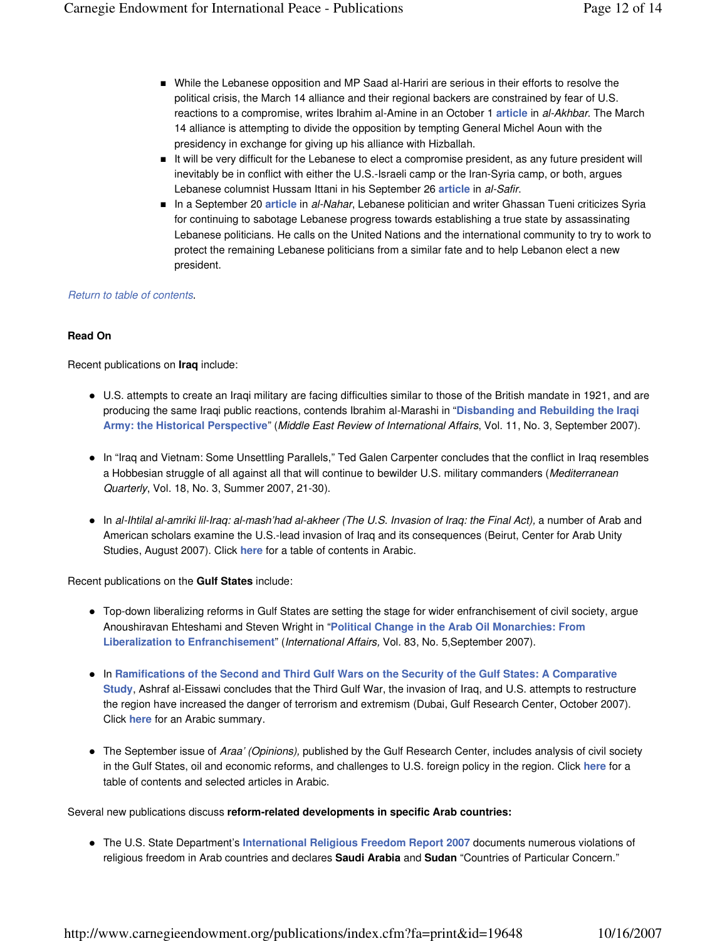- **Nille the Lebanese opposition and MP Saad al-Hariri are serious in their efforts to resolve the** political crisis, the March 14 alliance and their regional backers are constrained by fear of U.S. reactions to a compromise, writes Ibrahim al-Amine in an October 1 **article** in al-Akhbar. The March 14 alliance is attempting to divide the opposition by tempting General Michel Aoun with the presidency in exchange for giving up his alliance with Hizballah.
- It will be very difficult for the Lebanese to elect a compromise president, as any future president will inevitably be in conflict with either the U.S.-Israeli camp or the Iran-Syria camp, or both, argues Lebanese columnist Hussam Ittani in his September 26 **article** in al-Safir.
- In a September 20 **article** in al-Nahar, Lebanese politician and writer Ghassan Tueni criticizes Syria for continuing to sabotage Lebanese progress towards establishing a true state by assassinating Lebanese politicians. He calls on the United Nations and the international community to try to work to protect the remaining Lebanese politicians from a similar fate and to help Lebanon elect a new president.

## Return to table of contents.

## **Read On**

Recent publications on **Iraq** include:

- U.S. attempts to create an Iraqi military are facing difficulties similar to those of the British mandate in 1921, and are producing the same Iraqi public reactions, contends Ibrahim al-Marashi in "**Disbanding and Rebuilding the Iraqi Army: the Historical Perspective**" (Middle East Review of International Affairs, Vol. 11, No. 3, September 2007).
- In "Iraq and Vietnam: Some Unsettling Parallels," Ted Galen Carpenter concludes that the conflict in Iraq resembles a Hobbesian struggle of all against all that will continue to bewilder U.S. military commanders (Mediterranean Quarterly, Vol. 18, No. 3, Summer 2007, 21-30).
- In al-Ihtilal al-amriki lil-Iraq: al-mash'had al-akheer (The U.S. Invasion of Iraq: the Final Act), a number of Arab and American scholars examine the U.S.-lead invasion of Iraq and its consequences (Beirut, Center for Arab Unity Studies, August 2007). Click **here** for a table of contents in Arabic.

Recent publications on the **Gulf States** include:

- Top-down liberalizing reforms in Gulf States are setting the stage for wider enfranchisement of civil society, argue Anoushiravan Ehteshami and Steven Wright in "**Political Change in the Arab Oil Monarchies: From Liberalization to Enfranchisement**" (International Affairs, Vol. 83, No. 5,September 2007).
- In **Ramifications of the Second and Third Gulf Wars on the Security of the Gulf States: A Comparative Study**, Ashraf al-Eissawi concludes that the Third Gulf War, the invasion of Iraq, and U.S. attempts to restructure the region have increased the danger of terrorism and extremism (Dubai, Gulf Research Center, October 2007). Click **here** for an Arabic summary.
- The September issue of Araa' (Opinions), published by the Gulf Research Center, includes analysis of civil society in the Gulf States, oil and economic reforms, and challenges to U.S. foreign policy in the region. Click **here** for a table of contents and selected articles in Arabic.

Several new publications discuss **reform-related developments in specific Arab countries:**

 The U.S. State Department's **International Religious Freedom Report 2007** documents numerous violations of religious freedom in Arab countries and declares **Saudi Arabia** and **Sudan** "Countries of Particular Concern."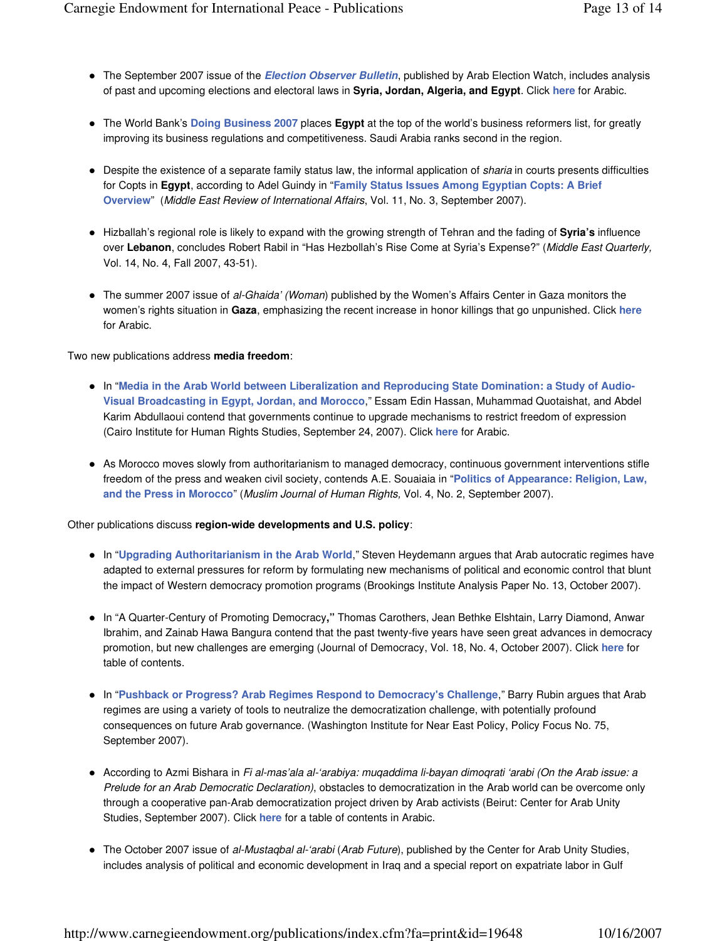- The September 2007 issue of the **Election Observer Bulletin**, published by Arab Election Watch, includes analysis of past and upcoming elections and electoral laws in **Syria, Jordan, Algeria, and Egypt**. Click **here** for Arabic.
- The World Bank's **Doing Business 2007** places **Egypt** at the top of the world's business reformers list, for greatly improving its business regulations and competitiveness. Saudi Arabia ranks second in the region.
- Despite the existence of a separate family status law, the informal application of sharia in courts presents difficulties for Copts in **Egypt**, according to Adel Guindy in "**Family Status Issues Among Egyptian Copts: A Brief Overview**" (Middle East Review of International Affairs, Vol. 11, No. 3, September 2007).
- Hizballah's regional role is likely to expand with the growing strength of Tehran and the fading of **Syria's** influence over Lebanon, concludes Robert Rabil in "Has Hezbollah's Rise Come at Syria's Expense?" (Middle East Quarterly, Vol. 14, No. 4, Fall 2007, 43-51).
- The summer 2007 issue of al-Ghaida' (Woman) published by the Women's Affairs Center in Gaza monitors the women's rights situation in **Gaza**, emphasizing the recent increase in honor killings that go unpunished. Click **here** for Arabic.

Two new publications address **media freedom**:

- In "**Media in the Arab World between Liberalization and Reproducing State Domination: a Study of Audio-Visual Broadcasting in Egypt, Jordan, and Morocco**," Essam Edin Hassan, Muhammad Quotaishat, and Abdel Karim Abdullaoui contend that governments continue to upgrade mechanisms to restrict freedom of expression (Cairo Institute for Human Rights Studies, September 24, 2007). Click **here** for Arabic.
- As Morocco moves slowly from authoritarianism to managed democracy, continuous government interventions stifle freedom of the press and weaken civil society, contends A.E. Souaiaia in "**Politics of Appearance: Religion, Law, and the Press in Morocco**" (Muslim Journal of Human Rights, Vol. 4, No. 2, September 2007).

Other publications discuss **region-wide developments and U.S. policy**:

- In "**Upgrading Authoritarianism in the Arab World**," Steven Heydemann argues that Arab autocratic regimes have adapted to external pressures for reform by formulating new mechanisms of political and economic control that blunt the impact of Western democracy promotion programs (Brookings Institute Analysis Paper No. 13, October 2007).
- In "A Quarter-Century of Promoting Democracy**,"** Thomas Carothers, Jean Bethke Elshtain, Larry Diamond, Anwar Ibrahim, and Zainab Hawa Bangura contend that the past twenty-five years have seen great advances in democracy promotion, but new challenges are emerging (Journal of Democracy, Vol. 18, No. 4, October 2007). Click **here** for table of contents.
- In "**Pushback or Progress? Arab Regimes Respond to Democracy's Challenge**," Barry Rubin argues that Arab regimes are using a variety of tools to neutralize the democratization challenge, with potentially profound consequences on future Arab governance. (Washington Institute for Near East Policy, Policy Focus No. 75, September 2007).
- According to Azmi Bishara in Fi al-mas'ala al-'arabiya: muqaddima li-bayan dimoqrati 'arabi (On the Arab issue: a Prelude for an Arab Democratic Declaration), obstacles to democratization in the Arab world can be overcome only through a cooperative pan-Arab democratization project driven by Arab activists (Beirut: Center for Arab Unity Studies, September 2007). Click **here** for a table of contents in Arabic.
- The October 2007 issue of al-Mustagbal al-'arabi (Arab Future), published by the Center for Arab Unity Studies, includes analysis of political and economic development in Iraq and a special report on expatriate labor in Gulf